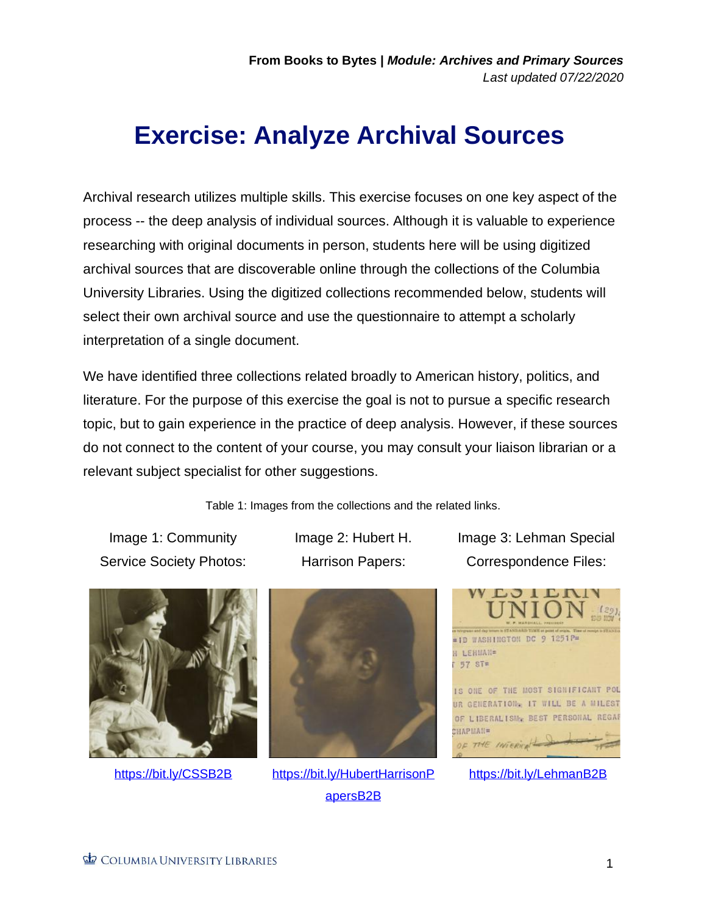## **Exercise: Analyze Archival Sources**.

Archival research utilizes multiple skills. This exercise focuses on one key aspect of the process -- the deep analysis of individual sources. Although it is valuable to experience researching with original documents in person, students here will be using digitized archival sources that are discoverable online through the collections of the Columbia University Libraries. Using the digitized collections recommended below, students will select their own archival source and use the questionnaire to attempt a scholarly interpretation of a single document.

We have identified three collections related broadly to American history, politics, and literature. For the purpose of this exercise the goal is not to pursue a specific research topic, but to gain experience in the practice of deep analysis. However, if these sources do not connect to the content of your course, you may consult your liaison librarian or a relevant subject specialist for other suggestions.

Table 1: Images from the collections and the related links.

Image 1: Community Service Society Photos: Image 2: Hubert H. Harrison Papers:





<https://bit.ly/CSSB2B> [https://bit.ly/HubertHarrisonP](https://bit.ly/HubertHarrisonPapersB2B) [apersB2B](https://bit.ly/HubertHarrisonPapersB2B)

Image 3: Lehman Special Correspondence Files:



<https://bit.ly/LehmanB2B>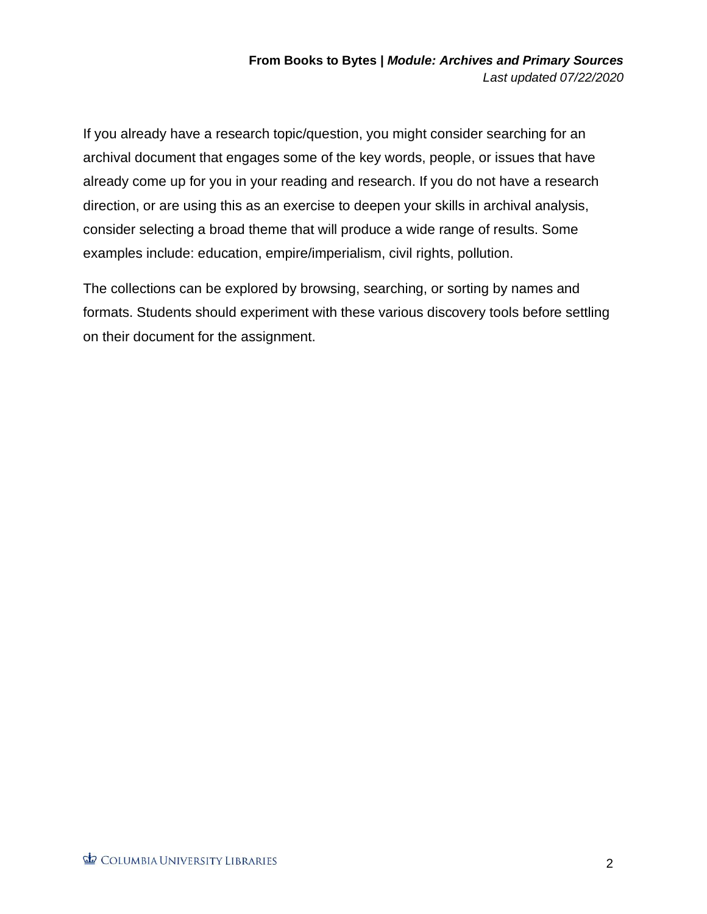If you already have a research topic/question, you might consider searching for an archival document that engages some of the key words, people, or issues that have already come up for you in your reading and research. If you do not have a research direction, or are using this as an exercise to deepen your skills in archival analysis, consider selecting a broad theme that will produce a wide range of results. Some examples include: education, empire/imperialism, civil rights, pollution.

The collections can be explored by browsing, searching, or sorting by names and formats. Students should experiment with these various discovery tools before settling on their document for the assignment.